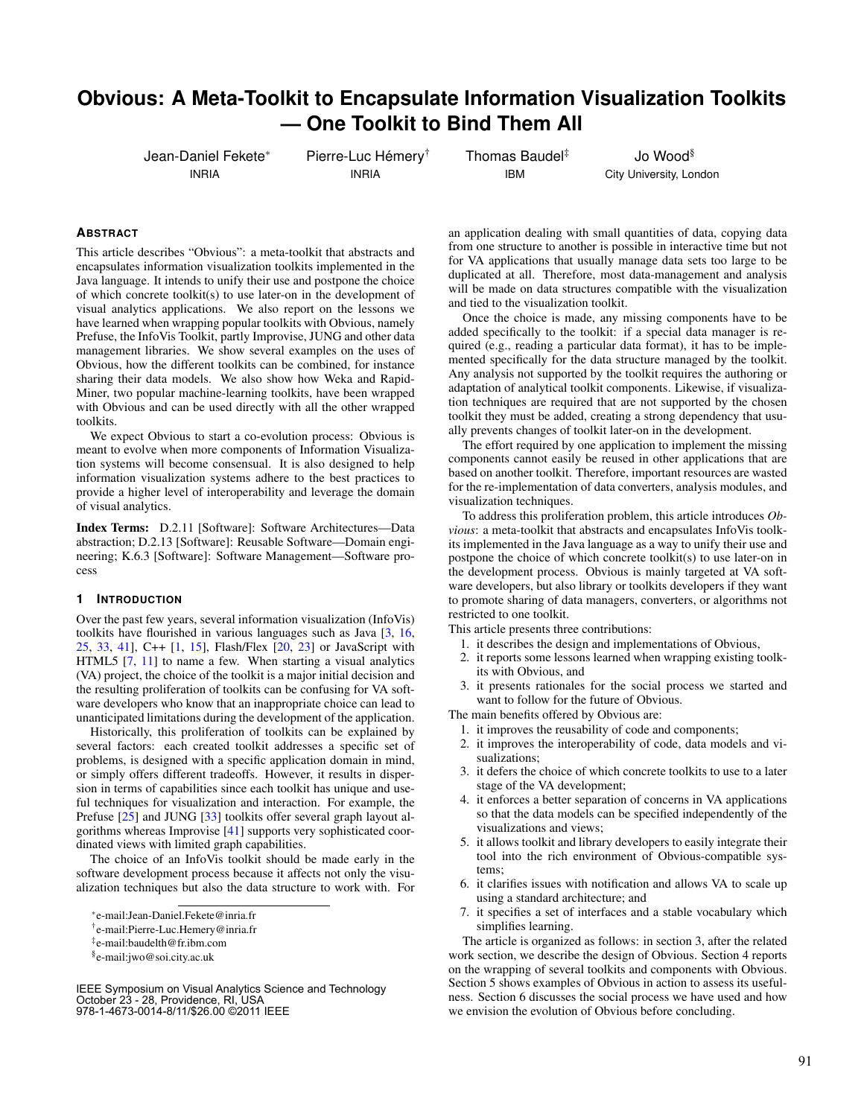# **Obvious: A Meta-Toolkit to Encapsulate Information Visualization Toolkits — One Toolkit to Bind Them All**

Jean-Daniel Fekete<sup>∗</sup> INRIA

Pierre-Luc Hémery<sup>†</sup> INRIA

Thomas Baudel<sup>‡</sup> IBM

Jo Wood§ City University, London

# **ABSTRACT**

This article describes "Obvious": a meta-toolkit that abstracts and encapsulates information visualization toolkits implemented in the Java language. It intends to unify their use and postpone the choice of which concrete toolkit(s) to use later-on in the development of visual analytics applications. We also report on the lessons we have learned when wrapping popular toolkits with Obvious, namely Prefuse, the InfoVis Toolkit, partly Improvise, JUNG and other data management libraries. We show several examples on the uses of Obvious, how the different toolkits can be combined, for instance sharing their data models. We also show how Weka and Rapid-Miner, two popular machine-learning toolkits, have been wrapped with Obvious and can be used directly with all the other wrapped toolkits.

We expect Obvious to start a co-evolution process: Obvious is meant to evolve when more components of Information Visualization systems will become consensual. It is also designed to help information visualization systems adhere to the best practices to provide a higher level of interoperability and leverage the domain of visual analytics.

Index Terms: D.2.11 [Software]: Software Architectures—Data abstraction; D.2.13 [Software]: Reusable Software—Domain engineering; K.6.3 [Software]: Software Management—Software process

### **1 INTRODUCTION**

Over the past few years, several information visualization (InfoVis) toolkits have flourished in various languages such as Java [3, 16, 25, 33, 41], C++ [1, 15], Flash/Flex [20, 23] or JavaScript with HTML5 [7, 11] to name a few. When starting a visual analytics (VA) project, the choice of the toolkit is a major initial decision and the resulting proliferation of toolkits can be confusing for VA software developers who know that an inappropriate choice can lead to unanticipated limitations during the development of the application.

Historically, this proliferation of toolkits can be explained by several factors: each created toolkit addresses a specific set of problems, is designed with a specific application domain in mind, or simply offers different tradeoffs. However, it results in dispersion in terms of capabilities since each toolkit has unique and useful techniques for visualization and interaction. For example, the Prefuse [25] and JUNG [33] toolkits offer several graph layout algorithms whereas Improvise [41] supports very sophisticated coordinated views with limited graph capabilities.

The choice of an InfoVis toolkit should be made early in the software development process because it affects not only the visualization techniques but also the data structure to work with. For

† e-mail:Pierre-Luc.Hemery@inria.fr

IEEE Symposium on Visual Analytics Science and Technology October 23 - 28, Providence, RI, USA 978-1-4673-0014-8/11/\$26.00 ©2011 IEEE

an application dealing with small quantities of data, copying data from one structure to another is possible in interactive time but not for VA applications that usually manage data sets too large to be duplicated at all. Therefore, most data-management and analysis will be made on data structures compatible with the visualization and tied to the visualization toolkit.

Once the choice is made, any missing components have to be added specifically to the toolkit: if a special data manager is required (e.g., reading a particular data format), it has to be implemented specifically for the data structure managed by the toolkit. Any analysis not supported by the toolkit requires the authoring or adaptation of analytical toolkit components. Likewise, if visualization techniques are required that are not supported by the chosen toolkit they must be added, creating a strong dependency that usually prevents changes of toolkit later-on in the development.

The effort required by one application to implement the missing components cannot easily be reused in other applications that are based on another toolkit. Therefore, important resources are wasted for the re-implementation of data converters, analysis modules, and visualization techniques.

To address this proliferation problem, this article introduces *Obvious*: a meta-toolkit that abstracts and encapsulates InfoVis toolkits implemented in the Java language as a way to unify their use and postpone the choice of which concrete toolkit(s) to use later-on in the development process. Obvious is mainly targeted at VA software developers, but also library or toolkits developers if they want to promote sharing of data managers, converters, or algorithms not restricted to one toolkit.

This article presents three contributions:

- 1. it describes the design and implementations of Obvious,
- 2. it reports some lessons learned when wrapping existing toolkits with Obvious, and
- 3. it presents rationales for the social process we started and want to follow for the future of Obvious.

The main benefits offered by Obvious are:

- 1. it improves the reusability of code and components;
- 2. it improves the interoperability of code, data models and visualizations;
- 3. it defers the choice of which concrete toolkits to use to a later stage of the VA development;
- 4. it enforces a better separation of concerns in VA applications so that the data models can be specified independently of the visualizations and views;
- 5. it allows toolkit and library developers to easily integrate their tool into the rich environment of Obvious-compatible systems;
- 6. it clarifies issues with notification and allows VA to scale up using a standard architecture; and
- 7. it specifies a set of interfaces and a stable vocabulary which simplifies learning.

The article is organized as follows: in section 3, after the related work section, we describe the design of Obvious. Section 4 reports on the wrapping of several toolkits and components with Obvious. Section 5 shows examples of Obvious in action to assess its usefulness. Section 6 discusses the social process we have used and how we envision the evolution of Obvious before concluding.

<sup>∗</sup> e-mail:Jean-Daniel.Fekete@inria.fr

<sup>‡</sup> e-mail:baudelth@fr.ibm.com

<sup>§</sup> e-mail:jwo@soi.city.ac.uk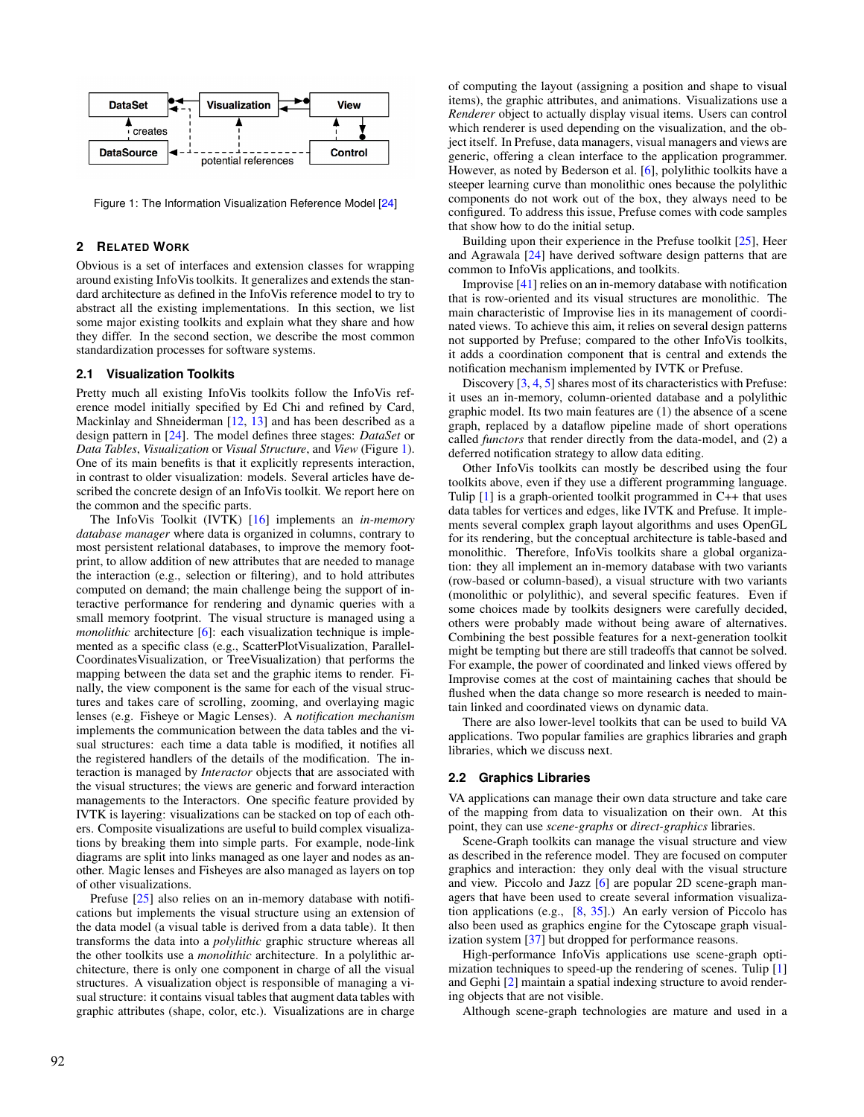

Figure 1: The Information Visualization Reference Model [24]

## **2 RELATED WORK**

Obvious is a set of interfaces and extension classes for wrapping around existing InfoVis toolkits. It generalizes and extends the standard architecture as defined in the InfoVis reference model to try to abstract all the existing implementations. In this section, we list some major existing toolkits and explain what they share and how they differ. In the second section, we describe the most common standardization processes for software systems.

#### **2.1 Visualization Toolkits**

Pretty much all existing InfoVis toolkits follow the InfoVis reference model initially specified by Ed Chi and refined by Card, Mackinlay and Shneiderman  $[12, 13]$  and has been described as a design pattern in [24]. The model defines three stages: *DataSet* or *Data Tables*, *Visualization* or *Visual Structure*, and *View* (Figure 1). One of its main benefits is that it explicitly represents interaction, in contrast to older visualization: models. Several articles have described the concrete design of an InfoVis toolkit. We report here on the common and the specific parts.

The InfoVis Toolkit (IVTK) [16] implements an *in-memory database manager* where data is organized in columns, contrary to most persistent relational databases, to improve the memory footprint, to allow addition of new attributes that are needed to manage the interaction (e.g., selection or filtering), and to hold attributes computed on demand; the main challenge being the support of interactive performance for rendering and dynamic queries with a small memory footprint. The visual structure is managed using a *monolithic* architecture [6]: each visualization technique is implemented as a specific class (e.g., ScatterPlotVisualization, Parallel-CoordinatesVisualization, or TreeVisualization) that performs the mapping between the data set and the graphic items to render. Finally, the view component is the same for each of the visual structures and takes care of scrolling, zooming, and overlaying magic lenses (e.g. Fisheye or Magic Lenses). A *notification mechanism* implements the communication between the data tables and the visual structures: each time a data table is modified, it notifies all the registered handlers of the details of the modification. The interaction is managed by *Interactor* objects that are associated with the visual structures; the views are generic and forward interaction managements to the Interactors. One specific feature provided by IVTK is layering: visualizations can be stacked on top of each others. Composite visualizations are useful to build complex visualizations by breaking them into simple parts. For example, node-link diagrams are split into links managed as one layer and nodes as another. Magic lenses and Fisheyes are also managed as layers on top of other visualizations.

Prefuse [25] also relies on an in-memory database with notifications but implements the visual structure using an extension of the data model (a visual table is derived from a data table). It then transforms the data into a *polylithic* graphic structure whereas all the other toolkits use a *monolithic* architecture. In a polylithic architecture, there is only one component in charge of all the visual structures. A visualization object is responsible of managing a visual structure: it contains visual tables that augment data tables with graphic attributes (shape, color, etc.). Visualizations are in charge

of computing the layout (assigning a position and shape to visual items), the graphic attributes, and animations. Visualizations use a *Renderer* object to actually display visual items. Users can control which renderer is used depending on the visualization, and the object itself. In Prefuse, data managers, visual managers and views are generic, offering a clean interface to the application programmer. However, as noted by Bederson et al. [6], polylithic toolkits have a steeper learning curve than monolithic ones because the polylithic components do not work out of the box, they always need to be configured. To address this issue, Prefuse comes with code samples that show how to do the initial setup.

Building upon their experience in the Prefuse toolkit [25], Heer and Agrawala [24] have derived software design patterns that are common to InfoVis applications, and toolkits.

Improvise [41] relies on an in-memory database with notification that is row-oriented and its visual structures are monolithic. The main characteristic of Improvise lies in its management of coordinated views. To achieve this aim, it relies on several design patterns not supported by Prefuse; compared to the other InfoVis toolkits, it adds a coordination component that is central and extends the notification mechanism implemented by IVTK or Prefuse.

Discovery [3, 4, 5] shares most of its characteristics with Prefuse: it uses an in-memory, column-oriented database and a polylithic graphic model. Its two main features are (1) the absence of a scene graph, replaced by a dataflow pipeline made of short operations called *functors* that render directly from the data-model, and (2) a deferred notification strategy to allow data editing.

Other InfoVis toolkits can mostly be described using the four toolkits above, even if they use a different programming language. Tulip [1] is a graph-oriented toolkit programmed in C++ that uses data tables for vertices and edges, like IVTK and Prefuse. It implements several complex graph layout algorithms and uses OpenGL for its rendering, but the conceptual architecture is table-based and monolithic. Therefore, InfoVis toolkits share a global organization: they all implement an in-memory database with two variants (row-based or column-based), a visual structure with two variants (monolithic or polylithic), and several specific features. Even if some choices made by toolkits designers were carefully decided, others were probably made without being aware of alternatives. Combining the best possible features for a next-generation toolkit might be tempting but there are still tradeoffs that cannot be solved. For example, the power of coordinated and linked views offered by Improvise comes at the cost of maintaining caches that should be flushed when the data change so more research is needed to maintain linked and coordinated views on dynamic data.

There are also lower-level toolkits that can be used to build VA applications. Two popular families are graphics libraries and graph libraries, which we discuss next.

## **2.2 Graphics Libraries**

VA applications can manage their own data structure and take care of the mapping from data to visualization on their own. At this point, they can use *scene-graphs* or *direct-graphics* libraries.

Scene-Graph toolkits can manage the visual structure and view as described in the reference model. They are focused on computer graphics and interaction: they only deal with the visual structure and view. Piccolo and Jazz [6] are popular 2D scene-graph managers that have been used to create several information visualization applications (e.g., [8, 35].) An early version of Piccolo has also been used as graphics engine for the Cytoscape graph visualization system [37] but dropped for performance reasons.

High-performance InfoVis applications use scene-graph optimization techniques to speed-up the rendering of scenes. Tulip [1] and Gephi [2] maintain a spatial indexing structure to avoid rendering objects that are not visible.

Although scene-graph technologies are mature and used in a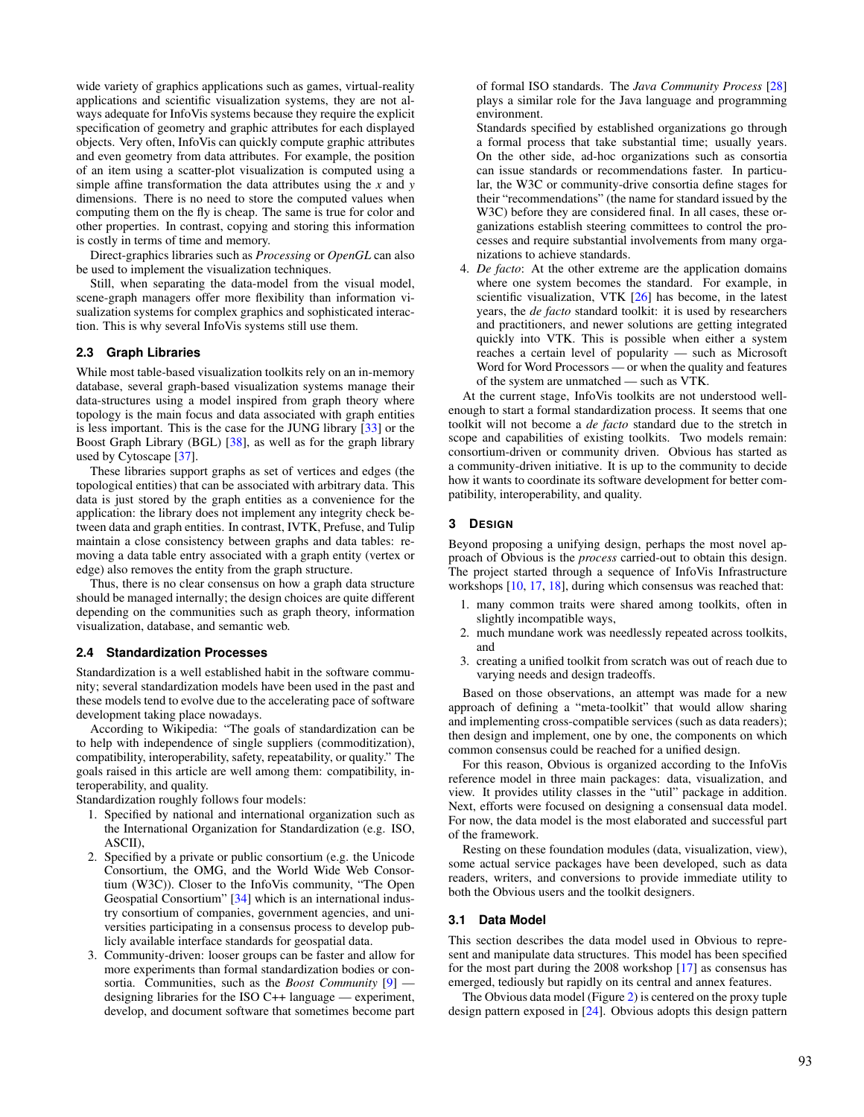wide variety of graphics applications such as games, virtual-reality applications and scientific visualization systems, they are not always adequate for InfoVis systems because they require the explicit specification of geometry and graphic attributes for each displayed objects. Very often, InfoVis can quickly compute graphic attributes and even geometry from data attributes. For example, the position of an item using a scatter-plot visualization is computed using a simple affine transformation the data attributes using the *x* and *y* dimensions. There is no need to store the computed values when computing them on the fly is cheap. The same is true for color and other properties. In contrast, copying and storing this information is costly in terms of time and memory.

Direct-graphics libraries such as *Processing* or *OpenGL* can also be used to implement the visualization techniques.

Still, when separating the data-model from the visual model, scene-graph managers offer more flexibility than information visualization systems for complex graphics and sophisticated interaction. This is why several InfoVis systems still use them.

### **2.3 Graph Libraries**

While most table-based visualization toolkits rely on an in-memory database, several graph-based visualization systems manage their data-structures using a model inspired from graph theory where topology is the main focus and data associated with graph entities is less important. This is the case for the JUNG library [33] or the Boost Graph Library (BGL) [38], as well as for the graph library used by Cytoscape [37].

These libraries support graphs as set of vertices and edges (the topological entities) that can be associated with arbitrary data. This data is just stored by the graph entities as a convenience for the application: the library does not implement any integrity check between data and graph entities. In contrast, IVTK, Prefuse, and Tulip maintain a close consistency between graphs and data tables: removing a data table entry associated with a graph entity (vertex or edge) also removes the entity from the graph structure.

Thus, there is no clear consensus on how a graph data structure should be managed internally; the design choices are quite different depending on the communities such as graph theory, information visualization, database, and semantic web.

## **2.4 Standardization Processes**

Standardization is a well established habit in the software community; several standardization models have been used in the past and these models tend to evolve due to the accelerating pace of software development taking place nowadays.

According to Wikipedia: "The goals of standardization can be to help with independence of single suppliers (commoditization), compatibility, interoperability, safety, repeatability, or quality." The goals raised in this article are well among them: compatibility, interoperability, and quality.

Standardization roughly follows four models:

- 1. Specified by national and international organization such as the International Organization for Standardization (e.g. ISO, ASCII),
- 2. Specified by a private or public consortium (e.g. the Unicode Consortium, the OMG, and the World Wide Web Consortium (W3C)). Closer to the InfoVis community, "The Open Geospatial Consortium" [34] which is an international industry consortium of companies, government agencies, and universities participating in a consensus process to develop publicly available interface standards for geospatial data.
- 3. Community-driven: looser groups can be faster and allow for more experiments than formal standardization bodies or consortia. Communities, such as the *Boost Community* [9] designing libraries for the ISO C++ language — experiment, develop, and document software that sometimes become part

of formal ISO standards. The *Java Community Process* [28] plays a similar role for the Java language and programming environment.

Standards specified by established organizations go through a formal process that take substantial time; usually years. On the other side, ad-hoc organizations such as consortia can issue standards or recommendations faster. In particular, the W3C or community-drive consortia define stages for their "recommendations" (the name for standard issued by the W<sub>3</sub>C) before they are considered final. In all cases, these organizations establish steering committees to control the processes and require substantial involvements from many organizations to achieve standards.

4. *De facto*: At the other extreme are the application domains where one system becomes the standard. For example, in scientific visualization, VTK [26] has become, in the latest years, the *de facto* standard toolkit: it is used by researchers and practitioners, and newer solutions are getting integrated quickly into VTK. This is possible when either a system reaches a certain level of popularity — such as Microsoft Word for Word Processors — or when the quality and features of the system are unmatched — such as VTK.

At the current stage, InfoVis toolkits are not understood wellenough to start a formal standardization process. It seems that one toolkit will not become a *de facto* standard due to the stretch in scope and capabilities of existing toolkits. Two models remain: consortium-driven or community driven. Obvious has started as a community-driven initiative. It is up to the community to decide how it wants to coordinate its software development for better compatibility, interoperability, and quality.

### **3 DESIGN**

Beyond proposing a unifying design, perhaps the most novel approach of Obvious is the *process* carried-out to obtain this design. The project started through a sequence of InfoVis Infrastructure workshops [10, 17, 18], during which consensus was reached that:

- 1. many common traits were shared among toolkits, often in slightly incompatible ways,
- 2. much mundane work was needlessly repeated across toolkits, and
- 3. creating a unified toolkit from scratch was out of reach due to varying needs and design tradeoffs.

Based on those observations, an attempt was made for a new approach of defining a "meta-toolkit" that would allow sharing and implementing cross-compatible services (such as data readers); then design and implement, one by one, the components on which common consensus could be reached for a unified design.

For this reason, Obvious is organized according to the InfoVis reference model in three main packages: data, visualization, and view. It provides utility classes in the "util" package in addition. Next, efforts were focused on designing a consensual data model. For now, the data model is the most elaborated and successful part of the framework.

Resting on these foundation modules (data, visualization, view), some actual service packages have been developed, such as data readers, writers, and conversions to provide immediate utility to both the Obvious users and the toolkit designers.

# **3.1 Data Model**

This section describes the data model used in Obvious to represent and manipulate data structures. This model has been specified for the most part during the 2008 workshop [17] as consensus has emerged, tediously but rapidly on its central and annex features.

The Obvious data model (Figure 2) is centered on the proxy tuple design pattern exposed in [24]. Obvious adopts this design pattern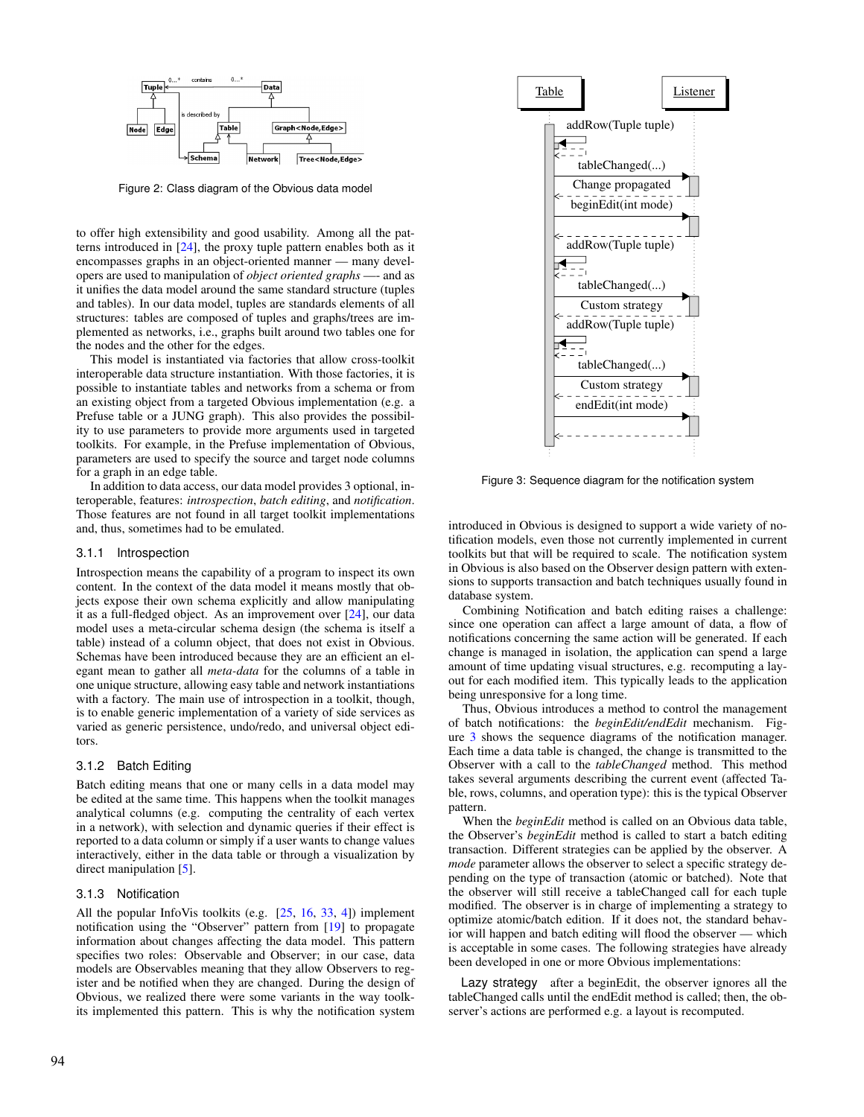

Figure 2: Class diagram of the Obvious data model

to offer high extensibility and good usability. Among all the patterns introduced in [24], the proxy tuple pattern enables both as it encompasses graphs in an object-oriented manner — many developers are used to manipulation of *object oriented graphs* —- and as it unifies the data model around the same standard structure (tuples and tables). In our data model, tuples are standards elements of all structures: tables are composed of tuples and graphs/trees are implemented as networks, i.e., graphs built around two tables one for the nodes and the other for the edges.

This model is instantiated via factories that allow cross-toolkit interoperable data structure instantiation. With those factories, it is possible to instantiate tables and networks from a schema or from an existing object from a targeted Obvious implementation (e.g. a Prefuse table or a JUNG graph). This also provides the possibility to use parameters to provide more arguments used in targeted toolkits. For example, in the Prefuse implementation of Obvious, parameters are used to specify the source and target node columns for a graph in an edge table.

In addition to data access, our data model provides 3 optional, interoperable, features: *introspection*, *batch editing*, and *notification*. Those features are not found in all target toolkit implementations and, thus, sometimes had to be emulated.

#### 3.1.1 Introspection

Introspection means the capability of a program to inspect its own content. In the context of the data model it means mostly that objects expose their own schema explicitly and allow manipulating it as a full-fledged object. As an improvement over [24], our data model uses a meta-circular schema design (the schema is itself a table) instead of a column object, that does not exist in Obvious. Schemas have been introduced because they are an efficient an elegant mean to gather all *meta-data* for the columns of a table in one unique structure, allowing easy table and network instantiations with a factory. The main use of introspection in a toolkit, though, is to enable generic implementation of a variety of side services as varied as generic persistence, undo/redo, and universal object editors.

#### 3.1.2 Batch Editing

Batch editing means that one or many cells in a data model may be edited at the same time. This happens when the toolkit manages analytical columns (e.g. computing the centrality of each vertex in a network), with selection and dynamic queries if their effect is reported to a data column or simply if a user wants to change values interactively, either in the data table or through a visualization by direct manipulation [5].

#### 3.1.3 Notification

All the popular InfoVis toolkits (e.g. [25, 16, 33, 4]) implement notification using the "Observer" pattern from [19] to propagate information about changes affecting the data model. This pattern specifies two roles: Observable and Observer; in our case, data models are Observables meaning that they allow Observers to register and be notified when they are changed. During the design of Obvious, we realized there were some variants in the way toolkits implemented this pattern. This is why the notification system



Figure 3: Sequence diagram for the notification system

introduced in Obvious is designed to support a wide variety of notification models, even those not currently implemented in current toolkits but that will be required to scale. The notification system in Obvious is also based on the Observer design pattern with extensions to supports transaction and batch techniques usually found in database system.

Combining Notification and batch editing raises a challenge: since one operation can affect a large amount of data, a flow of notifications concerning the same action will be generated. If each change is managed in isolation, the application can spend a large amount of time updating visual structures, e.g. recomputing a layout for each modified item. This typically leads to the application being unresponsive for a long time.

Thus, Obvious introduces a method to control the management of batch notifications: the *beginEdit/endEdit* mechanism. Figure 3 shows the sequence diagrams of the notification manager. Each time a data table is changed, the change is transmitted to the Observer with a call to the *tableChanged* method. This method takes several arguments describing the current event (affected Table, rows, columns, and operation type): this is the typical Observer pattern.

When the *beginEdit* method is called on an Obvious data table, the Observer's *beginEdit* method is called to start a batch editing transaction. Different strategies can be applied by the observer. A *mode* parameter allows the observer to select a specific strategy depending on the type of transaction (atomic or batched). Note that the observer will still receive a tableChanged call for each tuple modified. The observer is in charge of implementing a strategy to optimize atomic/batch edition. If it does not, the standard behavior will happen and batch editing will flood the observer — which is acceptable in some cases. The following strategies have already been developed in one or more Obvious implementations:

Lazy strategy after a beginEdit, the observer ignores all the tableChanged calls until the endEdit method is called; then, the observer's actions are performed e.g. a layout is recomputed.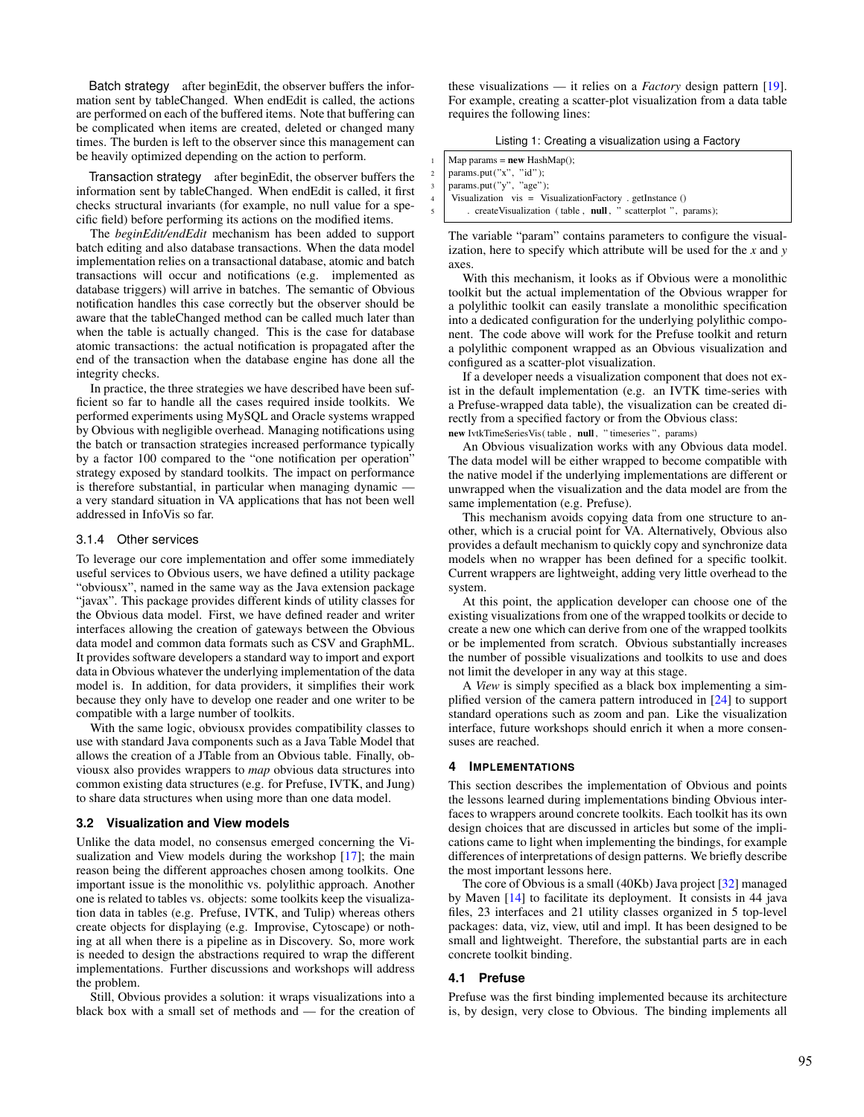Batch strategy after beginEdit, the observer buffers the information sent by tableChanged. When endEdit is called, the actions are performed on each of the buffered items. Note that buffering can be complicated when items are created, deleted or changed many times. The burden is left to the observer since this management can be heavily optimized depending on the action to perform.

Transaction strategy after beginEdit, the observer buffers the information sent by tableChanged. When endEdit is called, it first checks structural invariants (for example, no null value for a specific field) before performing its actions on the modified items.

The *beginEdit/endEdit* mechanism has been added to support batch editing and also database transactions. When the data model implementation relies on a transactional database, atomic and batch transactions will occur and notifications (e.g. implemented as database triggers) will arrive in batches. The semantic of Obvious notification handles this case correctly but the observer should be aware that the tableChanged method can be called much later than when the table is actually changed. This is the case for database atomic transactions: the actual notification is propagated after the end of the transaction when the database engine has done all the integrity checks.

In practice, the three strategies we have described have been sufficient so far to handle all the cases required inside toolkits. We performed experiments using MySQL and Oracle systems wrapped by Obvious with negligible overhead. Managing notifications using the batch or transaction strategies increased performance typically by a factor 100 compared to the "one notification per operation" strategy exposed by standard toolkits. The impact on performance is therefore substantial, in particular when managing dynamic a very standard situation in VA applications that has not been well addressed in InfoVis so far.

#### 3.1.4 Other services

To leverage our core implementation and offer some immediately useful services to Obvious users, we have defined a utility package "obviousx", named in the same way as the Java extension package "javax". This package provides different kinds of utility classes for the Obvious data model. First, we have defined reader and writer interfaces allowing the creation of gateways between the Obvious data model and common data formats such as CSV and GraphML. It provides software developers a standard way to import and export data in Obvious whatever the underlying implementation of the data model is. In addition, for data providers, it simplifies their work because they only have to develop one reader and one writer to be compatible with a large number of toolkits.

With the same logic, obviousx provides compatibility classes to use with standard Java components such as a Java Table Model that allows the creation of a JTable from an Obvious table. Finally, obviousx also provides wrappers to *map* obvious data structures into common existing data structures (e.g. for Prefuse, IVTK, and Jung) to share data structures when using more than one data model.

# **3.2 Visualization and View models**

Unlike the data model, no consensus emerged concerning the Visualization and View models during the workshop [17]; the main reason being the different approaches chosen among toolkits. One important issue is the monolithic vs. polylithic approach. Another one is related to tables vs. objects: some toolkits keep the visualization data in tables (e.g. Prefuse, IVTK, and Tulip) whereas others create objects for displaying (e.g. Improvise, Cytoscape) or nothing at all when there is a pipeline as in Discovery. So, more work is needed to design the abstractions required to wrap the different implementations. Further discussions and workshops will address the problem.

Still, Obvious provides a solution: it wraps visualizations into a black box with a small set of methods and — for the creation of these visualizations — it relies on a *Factory* design pattern [19]. For example, creating a scatter-plot visualization from a data table requires the following lines:

|  |  | Listing 1: Creating a visualization using a Factory |  |  |
|--|--|-----------------------------------------------------|--|--|
|--|--|-----------------------------------------------------|--|--|

|                | $1$ Map params = <b>new</b> HashMap();                       |
|----------------|--------------------------------------------------------------|
|                | $\begin{bmatrix}$ params.put("x", "id");                     |
|                | $\Box$ params.put("y", "age");                               |
| 4 <sup>1</sup> | Visualization vis = VisualizationFactory . getInstance ()    |
| $5^{\circ}$    | . create Visualization (table, null, "scatterplot", params); |
|                |                                                              |

The variable "param" contains parameters to configure the visualization, here to specify which attribute will be used for the *x* and *y* axes.

With this mechanism, it looks as if Obvious were a monolithic toolkit but the actual implementation of the Obvious wrapper for a polylithic toolkit can easily translate a monolithic specification into a dedicated configuration for the underlying polylithic component. The code above will work for the Prefuse toolkit and return a polylithic component wrapped as an Obvious visualization and configured as a scatter-plot visualization.

If a developer needs a visualization component that does not exist in the default implementation (e.g. an IVTK time-series with a Prefuse-wrapped data table), the visualization can be created directly from a specified factory or from the Obvious class: new IvtkTimeSeriesVis(table, null, "timeseries", params)

An Obvious visualization works with any Obvious data model. The data model will be either wrapped to become compatible with the native model if the underlying implementations are different or unwrapped when the visualization and the data model are from the same implementation (e.g. Prefuse).

This mechanism avoids copying data from one structure to another, which is a crucial point for VA. Alternatively, Obvious also provides a default mechanism to quickly copy and synchronize data models when no wrapper has been defined for a specific toolkit. Current wrappers are lightweight, adding very little overhead to the system.

At this point, the application developer can choose one of the existing visualizations from one of the wrapped toolkits or decide to create a new one which can derive from one of the wrapped toolkits or be implemented from scratch. Obvious substantially increases the number of possible visualizations and toolkits to use and does not limit the developer in any way at this stage.

A *View* is simply specified as a black box implementing a simplified version of the camera pattern introduced in [24] to support standard operations such as zoom and pan. Like the visualization interface, future workshops should enrich it when a more consensuses are reached.

## **4 IMPLEMENTATIONS**

This section describes the implementation of Obvious and points the lessons learned during implementations binding Obvious interfaces to wrappers around concrete toolkits. Each toolkit has its own design choices that are discussed in articles but some of the implications came to light when implementing the bindings, for example differences of interpretations of design patterns. We briefly describe the most important lessons here.

The core of Obvious is a small (40Kb) Java project [32] managed by Maven [14] to facilitate its deployment. It consists in 44 java files, 23 interfaces and 21 utility classes organized in 5 top-level packages: data, viz, view, util and impl. It has been designed to be small and lightweight. Therefore, the substantial parts are in each concrete toolkit binding.

#### **4.1 Prefuse**

Prefuse was the first binding implemented because its architecture is, by design, very close to Obvious. The binding implements all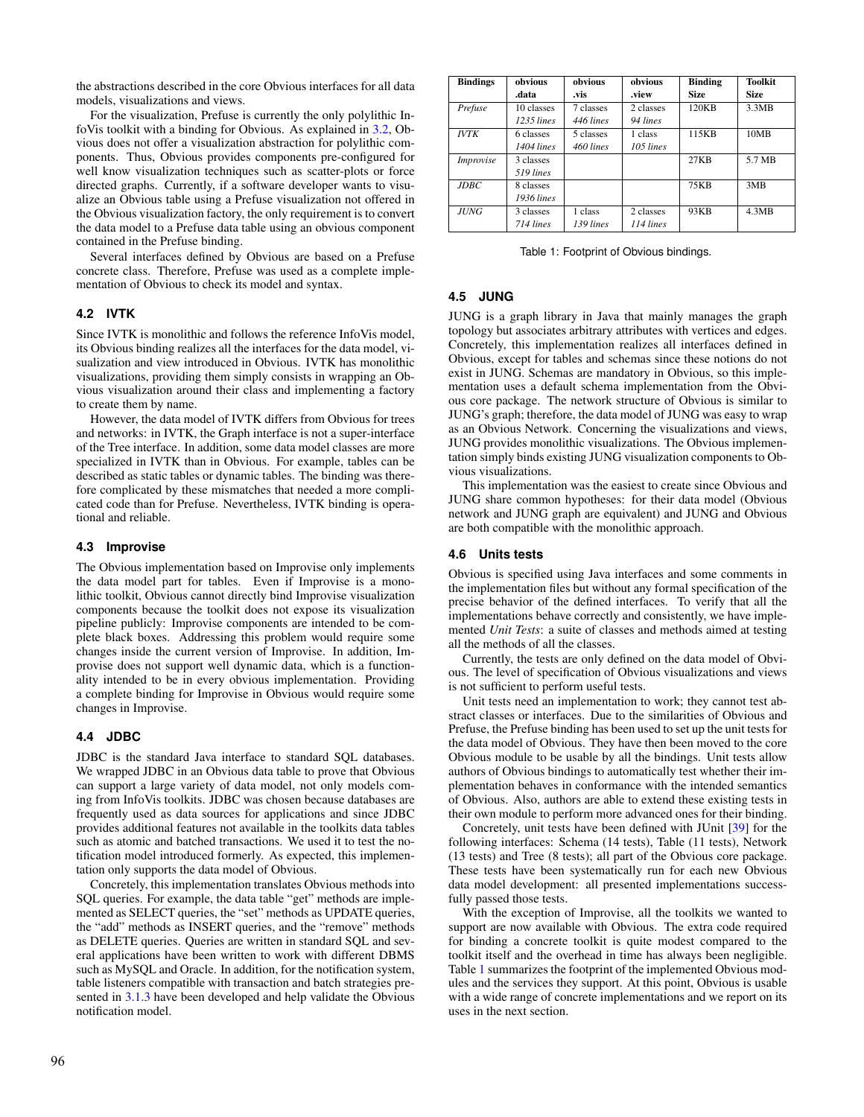the abstractions described in the core Obvious interfaces for all data models, visualizations and views.

For the visualization, Prefuse is currently the only polylithic InfoVis toolkit with a binding for Obvious. As explained in 3.2, Obvious does not offer a visualization abstraction for polylithic components. Thus, Obvious provides components pre-configured for well know visualization techniques such as scatter-plots or force directed graphs. Currently, if a software developer wants to visualize an Obvious table using a Prefuse visualization not offered in the Obvious visualization factory, the only requirement is to convert the data model to a Prefuse data table using an obvious component contained in the Prefuse binding.

Several interfaces defined by Obvious are based on a Prefuse concrete class. Therefore, Prefuse was used as a complete implementation of Obvious to check its model and syntax.

# **4.2 IVTK**

Since IVTK is monolithic and follows the reference InfoVis model, its Obvious binding realizes all the interfaces for the data model, visualization and view introduced in Obvious. IVTK has monolithic visualizations, providing them simply consists in wrapping an Obvious visualization around their class and implementing a factory to create them by name.

However, the data model of IVTK differs from Obvious for trees and networks: in IVTK, the Graph interface is not a super-interface of the Tree interface. In addition, some data model classes are more specialized in IVTK than in Obvious. For example, tables can be described as static tables or dynamic tables. The binding was therefore complicated by these mismatches that needed a more complicated code than for Prefuse. Nevertheless, IVTK binding is operational and reliable.

### **4.3 Improvise**

The Obvious implementation based on Improvise only implements the data model part for tables. Even if Improvise is a monolithic toolkit, Obvious cannot directly bind Improvise visualization components because the toolkit does not expose its visualization pipeline publicly: Improvise components are intended to be complete black boxes. Addressing this problem would require some changes inside the current version of Improvise. In addition, Improvise does not support well dynamic data, which is a functionality intended to be in every obvious implementation. Providing a complete binding for Improvise in Obvious would require some changes in Improvise.

## **4.4 JDBC**

JDBC is the standard Java interface to standard SQL databases. We wrapped JDBC in an Obvious data table to prove that Obvious can support a large variety of data model, not only models coming from InfoVis toolkits. JDBC was chosen because databases are frequently used as data sources for applications and since JDBC provides additional features not available in the toolkits data tables such as atomic and batched transactions. We used it to test the notification model introduced formerly. As expected, this implementation only supports the data model of Obvious.

Concretely, this implementation translates Obvious methods into SQL queries. For example, the data table "get" methods are implemented as SELECT queries, the "set" methods as UPDATE queries, the "add" methods as INSERT queries, and the "remove" methods as DELETE queries. Queries are written in standard SQL and several applications have been written to work with different DBMS such as MySQL and Oracle. In addition, for the notification system, table listeners compatible with transaction and batch strategies presented in 3.1.3 have been developed and help validate the Obvious notification model.

| <b>Bindings</b> | obvious      | obvious   | obvious     | <b>Binding</b> | <b>Toolkit</b> |
|-----------------|--------------|-----------|-------------|----------------|----------------|
|                 | .data        | .vis      | .view       | <b>Size</b>    | <b>Size</b>    |
| Prefuse         | 10 classes   | 7 classes | 2 classes   | 120KB          | 3.3MB          |
|                 | $1235$ lines | 446 lines | 94 lines    |                |                |
| <b>IVTK</b>     | 6 classes    | 5 classes | 1 class     | 115KB          | 10MB           |
|                 | $1404$ lines | 460 lines | 105 lines   |                |                |
| Improvise       | 3 classes    |           |             | 27KB           | 5.7 MB         |
|                 | 519 lines    |           |             |                |                |
| <b>JDBC</b>     | 8 classes    |           |             | 75KB           | 3MB            |
|                 | 1936 lines   |           |             |                |                |
| <b>JUNG</b>     | 3 classes    | 1 class   | 2 classes   | 93KB           | 4.3MB          |
|                 | 714 lines    | 139 lines | $114$ lines |                |                |

Table 1: Footprint of Obvious bindings.

## **4.5 JUNG**

JUNG is a graph library in Java that mainly manages the graph topology but associates arbitrary attributes with vertices and edges. Concretely, this implementation realizes all interfaces defined in Obvious, except for tables and schemas since these notions do not exist in JUNG. Schemas are mandatory in Obvious, so this implementation uses a default schema implementation from the Obvious core package. The network structure of Obvious is similar to JUNG's graph; therefore, the data model of JUNG was easy to wrap as an Obvious Network. Concerning the visualizations and views, JUNG provides monolithic visualizations. The Obvious implementation simply binds existing JUNG visualization components to Obvious visualizations.

This implementation was the easiest to create since Obvious and JUNG share common hypotheses: for their data model (Obvious network and JUNG graph are equivalent) and JUNG and Obvious are both compatible with the monolithic approach.

## **4.6 Units tests**

Obvious is specified using Java interfaces and some comments in the implementation files but without any formal specification of the precise behavior of the defined interfaces. To verify that all the implementations behave correctly and consistently, we have implemented *Unit Tests*: a suite of classes and methods aimed at testing all the methods of all the classes.

Currently, the tests are only defined on the data model of Obvious. The level of specification of Obvious visualizations and views is not sufficient to perform useful tests.

Unit tests need an implementation to work; they cannot test abstract classes or interfaces. Due to the similarities of Obvious and Prefuse, the Prefuse binding has been used to set up the unit tests for the data model of Obvious. They have then been moved to the core Obvious module to be usable by all the bindings. Unit tests allow authors of Obvious bindings to automatically test whether their implementation behaves in conformance with the intended semantics of Obvious. Also, authors are able to extend these existing tests in their own module to perform more advanced ones for their binding.

Concretely, unit tests have been defined with JUnit [39] for the following interfaces: Schema (14 tests), Table (11 tests), Network (13 tests) and Tree (8 tests); all part of the Obvious core package. These tests have been systematically run for each new Obvious data model development: all presented implementations successfully passed those tests.

With the exception of Improvise, all the toolkits we wanted to support are now available with Obvious. The extra code required for binding a concrete toolkit is quite modest compared to the toolkit itself and the overhead in time has always been negligible. Table 1 summarizes the footprint of the implemented Obvious modules and the services they support. At this point, Obvious is usable with a wide range of concrete implementations and we report on its uses in the next section.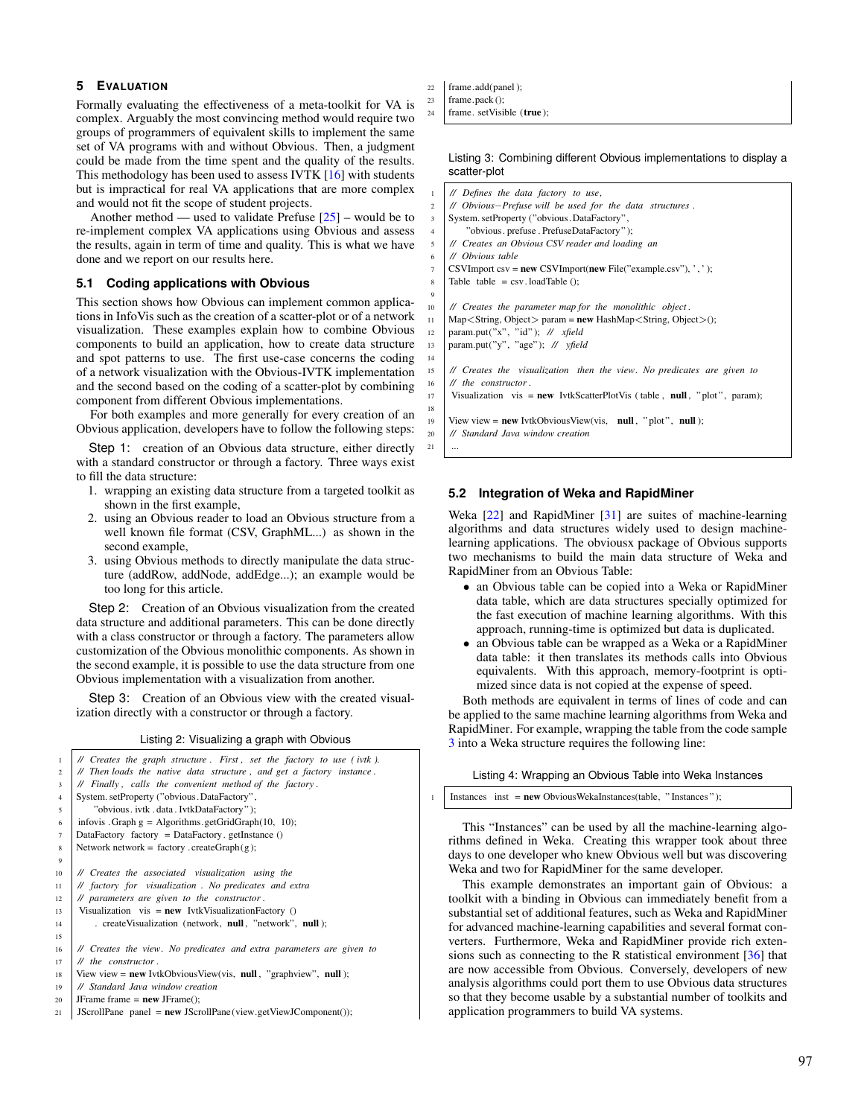# **5 EVALUATION**

Formally evaluating the effectiveness of a meta-toolkit for VA is complex. Arguably the most convincing method would require two groups of programmers of equivalent skills to implement the same set of VA programs with and without Obvious. Then, a judgment could be made from the time spent and the quality of the results. This methodology has been used to assess IVTK [16] with students but is impractical for real VA applications that are more complex and would not fit the scope of student projects.

Another method — used to validate Prefuse  $[25]$  – would be to re-implement complex VA applications using Obvious and assess the results, again in term of time and quality. This is what we have done and we report on our results here.

#### **5.1 Coding applications with Obvious**

This section shows how Obvious can implement common applications in InfoVis such as the creation of a scatter-plot or of a network visualization. These examples explain how to combine Obvious components to build an application, how to create data structure and spot patterns to use. The first use-case concerns the coding of a network visualization with the Obvious-IVTK implementation and the second based on the coding of a scatter-plot by combining component from different Obvious implementations.

For both examples and more generally for every creation of an Obvious application, developers have to follow the following steps:

Step 1: creation of an Obvious data structure, either directly with a standard constructor or through a factory. Three ways exist to fill the data structure:

- 1. wrapping an existing data structure from a targeted toolkit as shown in the first example,
- 2. using an Obvious reader to load an Obvious structure from a well known file format (CSV, GraphML...) as shown in the second example,
- 3. using Obvious methods to directly manipulate the data structure (addRow, addNode, addEdge...); an example would be too long for this article.

Step 2: Creation of an Obvious visualization from the created data structure and additional parameters. This can be done directly with a class constructor or through a factory. The parameters allow customization of the Obvious monolithic components. As shown in the second example, it is possible to use the data structure from one Obvious implementation with a visualization from another.

Step 3: Creation of an Obvious view with the created visualization directly with a constructor or through a factory.

Listing 2: Visualizing a graph with Obvious

| $\mathbf{1}$   | // Creates the graph structure. First, set the factory to use (ivtk).          |
|----------------|--------------------------------------------------------------------------------|
| 2              | // Then loads the native data structure, and get a factory instance.           |
| 3              | // Finally, calls the convenient method of the factory.                        |
| $\overline{4}$ | System. setProperty ("obvious. DataFactory",                                   |
| 5              | "obvious. ivtk. data. IvtkDataFactory");                                       |
| 6              | infovis . Graph $g =$ Algorithms . getGridGraph $(10, 10)$ ;                   |
| $\tau$         | DataFactory $factory = DataFactory$ . getInstance ()                           |
| 8              | Network network = factory . createGraph(g);                                    |
| 9              |                                                                                |
| 10             | // Creates the associated visualization using the                              |
| 11             | // factory for visualization . No predicates and extra                         |
| 12             | // parameters are given to the constructor.                                    |
| 13             | Visualization vis = $new$ IvtkVisualizationFactory ()                          |
| 14             | . create Visualization (network, null, "network", null);                       |
| 15             |                                                                                |
| 16             | // Creates the view. No predicates and extra parameters are given to           |
| 17             | $//$ the constructor.                                                          |
| 18             | View view = $new$ IvtkObvious View(vis, $null, "graphview", null);$            |
| 19             | // Standard Java window creation                                               |
| 20             | JFrame frame $=$ <b>new</b> JFrame();                                          |
| 21             | $JScrollPane$ panel = <b>new</b> $JScrollPane$ (view.getView $JComponent()$ ); |

23 frame.pack ();

14

 $24$  frame. setVisible (true);

#### Listing 3: Combining different Obvious implementations to display a scatter-plot

| $\mathbf{1}$   | // Defines the data factory to use,                                                                                                     |
|----------------|-----------------------------------------------------------------------------------------------------------------------------------------|
| 2              | // Obvious-Prefuse will be used for the data structures.                                                                                |
| 3              | System. setProperty ("obvious. DataFactory",                                                                                            |
| $\overline{4}$ | "obvious. prefuse. PrefuseDataFactory");                                                                                                |
| 5              | // Creates an Obvious CSV reader and loading an                                                                                         |
| 6              | // Obvious table                                                                                                                        |
| $\tau$         | CSVImport csv = $new$ CSVImport( $new$ File("example.csv"), ', ');                                                                      |
| 8              | Table $table = \text{csv}$ . loadTable ();                                                                                              |
| 9              |                                                                                                                                         |
| 10             | // Creates the parameter map for the monolithic object.                                                                                 |
| 11             | $\text{Map} \leq \text{String}, \text{Object} \geq \text{param} = \text{new HashMap} \leq \text{String}, \text{Object} \geq \text{();}$ |
| 12             | param.put("x", "id"); // $xfield$                                                                                                       |
| 13             | param.put("y", "age"); // $vfield$                                                                                                      |
| 14             |                                                                                                                                         |
| 15             | // Creates the visualization then the view. No predicates are given to                                                                  |
| 16             | $//$ the constructor.                                                                                                                   |
| 17             | Visualization vis = $new$ IvtkScatterPlotVis (table, $null, "plot", param);$                                                            |
| 18             |                                                                                                                                         |
| 19             | View view = $new$ IvtkObvious View(vis, $null, "plot", null$ );                                                                         |
| 20             | // Standard Java window creation                                                                                                        |
| 21             |                                                                                                                                         |

#### **5.2 Integration of Weka and RapidMiner**

Weka [22] and RapidMiner [31] are suites of machine-learning algorithms and data structures widely used to design machinelearning applications. The obviousx package of Obvious supports two mechanisms to build the main data structure of Weka and RapidMiner from an Obvious Table:

- an Obvious table can be copied into a Weka or RapidMiner data table, which are data structures specially optimized for the fast execution of machine learning algorithms. With this approach, running-time is optimized but data is duplicated.
- an Obvious table can be wrapped as a Weka or a RapidMiner data table: it then translates its methods calls into Obvious equivalents. With this approach, memory-footprint is optimized since data is not copied at the expense of speed.

Both methods are equivalent in terms of lines of code and can be applied to the same machine learning algorithms from Weka and RapidMiner. For example, wrapping the table from the code sample 3 into a Weka structure requires the following line:

Listing 4: Wrapping an Obvious Table into Weka Instances

Instances inst =  $new$  ObviousWekaInstances(table, "Instances");

This "Instances" can be used by all the machine-learning algorithms defined in Weka. Creating this wrapper took about three days to one developer who knew Obvious well but was discovering Weka and two for RapidMiner for the same developer.

This example demonstrates an important gain of Obvious: a toolkit with a binding in Obvious can immediately benefit from a substantial set of additional features, such as Weka and RapidMiner for advanced machine-learning capabilities and several format converters. Furthermore, Weka and RapidMiner provide rich extensions such as connecting to the R statistical environment [36] that are now accessible from Obvious. Conversely, developers of new analysis algorithms could port them to use Obvious data structures so that they become usable by a substantial number of toolkits and application programmers to build VA systems.

<sup>22</sup> frame.add(panel );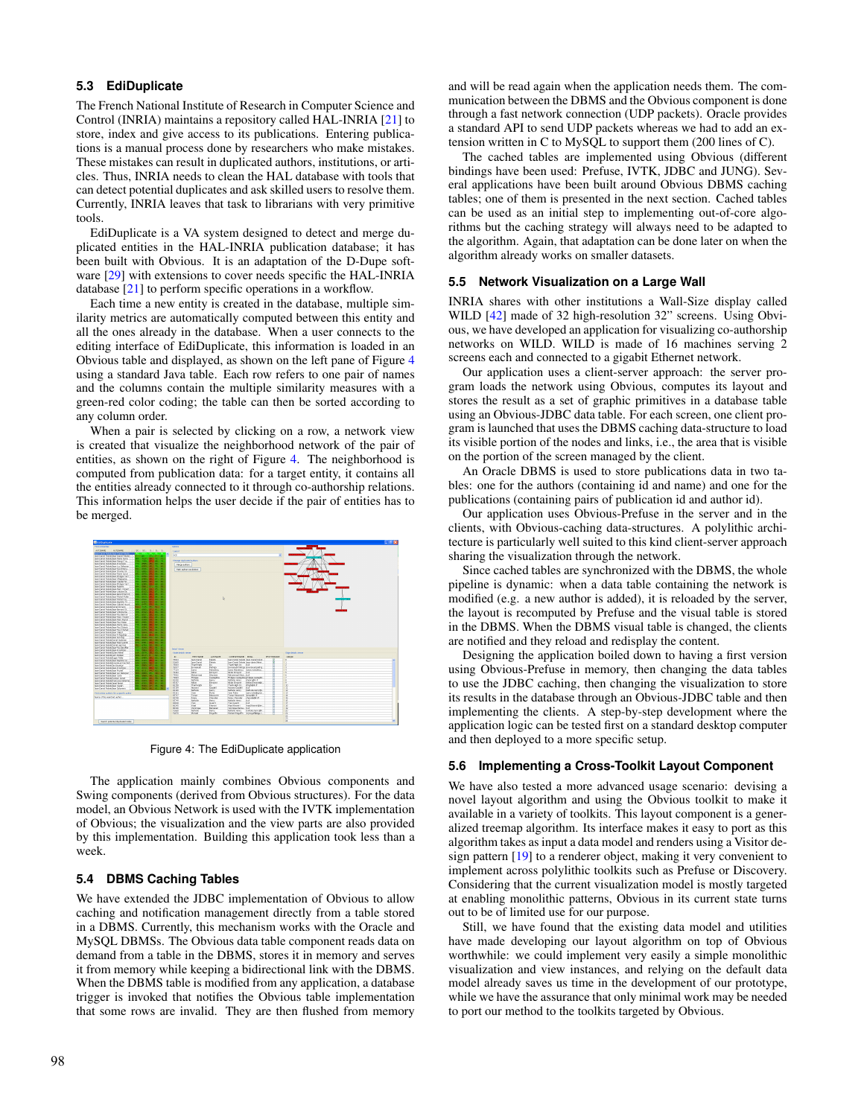# **5.3 EdiDuplicate**

The French National Institute of Research in Computer Science and Control (INRIA) maintains a repository called HAL-INRIA [21] to store, index and give access to its publications. Entering publications is a manual process done by researchers who make mistakes. These mistakes can result in duplicated authors, institutions, or articles. Thus, INRIA needs to clean the HAL database with tools that can detect potential duplicates and ask skilled users to resolve them. Currently, INRIA leaves that task to librarians with very primitive tools.

EdiDuplicate is a VA system designed to detect and merge duplicated entities in the HAL-INRIA publication database; it has been built with Obvious. It is an adaptation of the D-Dupe software [29] with extensions to cover needs specific the HAL-INRIA database [21] to perform specific operations in a workflow.

Each time a new entity is created in the database, multiple similarity metrics are automatically computed between this entity and all the ones already in the database. When a user connects to the editing interface of EdiDuplicate, this information is loaded in an Obvious table and displayed, as shown on the left pane of Figure 4 using a standard Java table. Each row refers to one pair of names and the columns contain the multiple similarity measures with a green-red color coding; the table can then be sorted according to any column order.

When a pair is selected by clicking on a row, a network view is created that visualize the neighborhood network of the pair of entities, as shown on the right of Figure 4. The neighborhood is computed from publication data: for a target entity, it contains all the entities already connected to it through co-authorship relations. This information helps the user decide if the pair of entities has to be merged.



Figure 4: The EdiDuplicate application

The application mainly combines Obvious components and Swing components (derived from Obvious structures). For the data model, an Obvious Network is used with the IVTK implementation of Obvious; the visualization and the view parts are also provided by this implementation. Building this application took less than a week.

## **5.4 DBMS Caching Tables**

We have extended the JDBC implementation of Obvious to allow caching and notification management directly from a table stored in a DBMS. Currently, this mechanism works with the Oracle and MySQL DBMSs. The Obvious data table component reads data on demand from a table in the DBMS, stores it in memory and serves it from memory while keeping a bidirectional link with the DBMS. When the DBMS table is modified from any application, a database trigger is invoked that notifies the Obvious table implementation that some rows are invalid. They are then flushed from memory

and will be read again when the application needs them. The communication between the DBMS and the Obvious component is done through a fast network connection (UDP packets). Oracle provides a standard API to send UDP packets whereas we had to add an extension written in C to MySQL to support them (200 lines of C).

The cached tables are implemented using Obvious (different bindings have been used: Prefuse, IVTK, JDBC and JUNG). Several applications have been built around Obvious DBMS caching tables; one of them is presented in the next section. Cached tables can be used as an initial step to implementing out-of-core algorithms but the caching strategy will always need to be adapted to the algorithm. Again, that adaptation can be done later on when the algorithm already works on smaller datasets.

#### **5.5 Network Visualization on a Large Wall**

INRIA shares with other institutions a Wall-Size display called WILD [42] made of 32 high-resolution 32" screens. Using Obvious, we have developed an application for visualizing co-authorship networks on WILD. WILD is made of 16 machines serving 2 screens each and connected to a gigabit Ethernet network.

Our application uses a client-server approach: the server program loads the network using Obvious, computes its layout and stores the result as a set of graphic primitives in a database table using an Obvious-JDBC data table. For each screen, one client program is launched that uses the DBMS caching data-structure to load its visible portion of the nodes and links, i.e., the area that is visible on the portion of the screen managed by the client.

An Oracle DBMS is used to store publications data in two tables: one for the authors (containing id and name) and one for the publications (containing pairs of publication id and author id).

Our application uses Obvious-Prefuse in the server and in the clients, with Obvious-caching data-structures. A polylithic architecture is particularly well suited to this kind client-server approach sharing the visualization through the network.

Since cached tables are synchronized with the DBMS, the whole pipeline is dynamic: when a data table containing the network is modified (e.g. a new author is added), it is reloaded by the server, the layout is recomputed by Prefuse and the visual table is stored in the DBMS. When the DBMS visual table is changed, the clients are notified and they reload and redisplay the content.

Designing the application boiled down to having a first version using Obvious-Prefuse in memory, then changing the data tables to use the JDBC caching, then changing the visualization to store its results in the database through an Obvious-JDBC table and then implementing the clients. A step-by-step development where the application logic can be tested first on a standard desktop computer and then deployed to a more specific setup.

## **5.6 Implementing a Cross-Toolkit Layout Component**

We have also tested a more advanced usage scenario: devising a novel layout algorithm and using the Obvious toolkit to make it available in a variety of toolkits. This layout component is a generalized treemap algorithm. Its interface makes it easy to port as this algorithm takes as input a data model and renders using a Visitor design pattern [19] to a renderer object, making it very convenient to implement across polylithic toolkits such as Prefuse or Discovery. Considering that the current visualization model is mostly targeted at enabling monolithic patterns, Obvious in its current state turns out to be of limited use for our purpose.

Still, we have found that the existing data model and utilities have made developing our layout algorithm on top of Obvious worthwhile: we could implement very easily a simple monolithic visualization and view instances, and relying on the default data model already saves us time in the development of our prototype, while we have the assurance that only minimal work may be needed to port our method to the toolkits targeted by Obvious.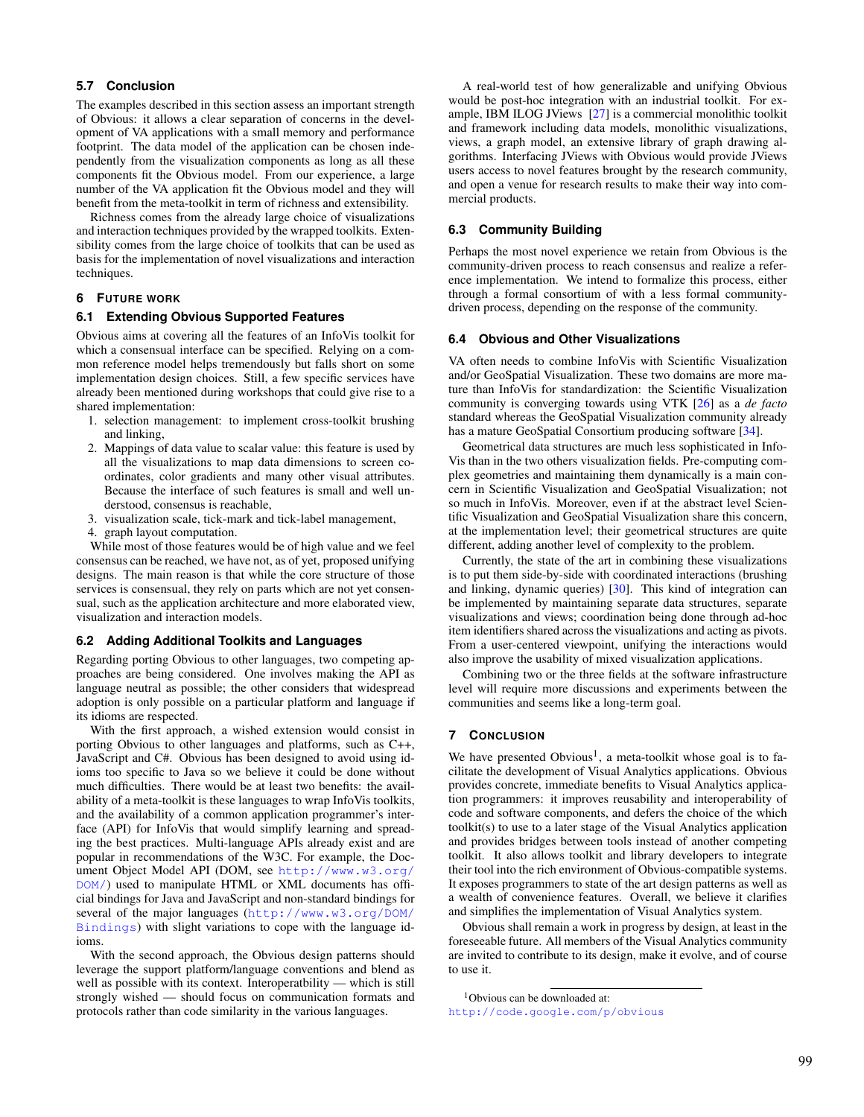# **5.7 Conclusion**

The examples described in this section assess an important strength of Obvious: it allows a clear separation of concerns in the development of VA applications with a small memory and performance footprint. The data model of the application can be chosen independently from the visualization components as long as all these components fit the Obvious model. From our experience, a large number of the VA application fit the Obvious model and they will benefit from the meta-toolkit in term of richness and extensibility.

Richness comes from the already large choice of visualizations and interaction techniques provided by the wrapped toolkits. Extensibility comes from the large choice of toolkits that can be used as basis for the implementation of novel visualizations and interaction techniques.

# **6 FUTURE WORK**

# **6.1 Extending Obvious Supported Features**

Obvious aims at covering all the features of an InfoVis toolkit for which a consensual interface can be specified. Relying on a common reference model helps tremendously but falls short on some implementation design choices. Still, a few specific services have already been mentioned during workshops that could give rise to a shared implementation:

- 1. selection management: to implement cross-toolkit brushing and linking,
- 2. Mappings of data value to scalar value: this feature is used by all the visualizations to map data dimensions to screen coordinates, color gradients and many other visual attributes. Because the interface of such features is small and well understood, consensus is reachable,
- 3. visualization scale, tick-mark and tick-label management,
- 4. graph layout computation.

While most of those features would be of high value and we feel consensus can be reached, we have not, as of yet, proposed unifying designs. The main reason is that while the core structure of those services is consensual, they rely on parts which are not yet consensual, such as the application architecture and more elaborated view, visualization and interaction models.

#### **6.2 Adding Additional Toolkits and Languages**

Regarding porting Obvious to other languages, two competing approaches are being considered. One involves making the API as language neutral as possible; the other considers that widespread adoption is only possible on a particular platform and language if its idioms are respected.

With the first approach, a wished extension would consist in porting Obvious to other languages and platforms, such as C++, JavaScript and C#. Obvious has been designed to avoid using idioms too specific to Java so we believe it could be done without much difficulties. There would be at least two benefits: the availability of a meta-toolkit is these languages to wrap InfoVis toolkits, and the availability of a common application programmer's interface (API) for InfoVis that would simplify learning and spreading the best practices. Multi-language APIs already exist and are popular in recommendations of the W3C. For example, the Document Object Model API (DOM, see http://www.w3.org/ DOM/) used to manipulate HTML or XML documents has official bindings for Java and JavaScript and non-standard bindings for several of the major languages (http://www.w3.org/DOM/ Bindings) with slight variations to cope with the language idioms.

With the second approach, the Obvious design patterns should leverage the support platform/language conventions and blend as well as possible with its context. Interoperatbility — which is still strongly wished — should focus on communication formats and protocols rather than code similarity in the various languages.

A real-world test of how generalizable and unifying Obvious would be post-hoc integration with an industrial toolkit. For example, IBM ILOG JViews [27] is a commercial monolithic toolkit and framework including data models, monolithic visualizations, views, a graph model, an extensive library of graph drawing algorithms. Interfacing JViews with Obvious would provide JViews users access to novel features brought by the research community, and open a venue for research results to make their way into commercial products.

## **6.3 Community Building**

Perhaps the most novel experience we retain from Obvious is the community-driven process to reach consensus and realize a reference implementation. We intend to formalize this process, either through a formal consortium of with a less formal communitydriven process, depending on the response of the community.

## **6.4 Obvious and Other Visualizations**

VA often needs to combine InfoVis with Scientific Visualization and/or GeoSpatial Visualization. These two domains are more mature than InfoVis for standardization: the Scientific Visualization community is converging towards using VTK [26] as a *de facto* standard whereas the GeoSpatial Visualization community already has a mature GeoSpatial Consortium producing software [34].

Geometrical data structures are much less sophisticated in Info-Vis than in the two others visualization fields. Pre-computing complex geometries and maintaining them dynamically is a main concern in Scientific Visualization and GeoSpatial Visualization; not so much in InfoVis. Moreover, even if at the abstract level Scientific Visualization and GeoSpatial Visualization share this concern, at the implementation level; their geometrical structures are quite different, adding another level of complexity to the problem.

Currently, the state of the art in combining these visualizations is to put them side-by-side with coordinated interactions (brushing and linking, dynamic queries) [30]. This kind of integration can be implemented by maintaining separate data structures, separate visualizations and views; coordination being done through ad-hoc item identifiers shared across the visualizations and acting as pivots. From a user-centered viewpoint, unifying the interactions would also improve the usability of mixed visualization applications.

Combining two or the three fields at the software infrastructure level will require more discussions and experiments between the communities and seems like a long-term goal.

# **7 CONCLUSION**

We have presented Obvious<sup>1</sup>, a meta-toolkit whose goal is to facilitate the development of Visual Analytics applications. Obvious provides concrete, immediate benefits to Visual Analytics application programmers: it improves reusability and interoperability of code and software components, and defers the choice of the which toolkit(s) to use to a later stage of the Visual Analytics application and provides bridges between tools instead of another competing toolkit. It also allows toolkit and library developers to integrate their tool into the rich environment of Obvious-compatible systems. It exposes programmers to state of the art design patterns as well as a wealth of convenience features. Overall, we believe it clarifies and simplifies the implementation of Visual Analytics system.

Obvious shall remain a work in progress by design, at least in the foreseeable future. All members of the Visual Analytics community are invited to contribute to its design, make it evolve, and of course to use it.

<sup>1</sup>Obvious can be downloaded at: http://code.google.com/p/obvious